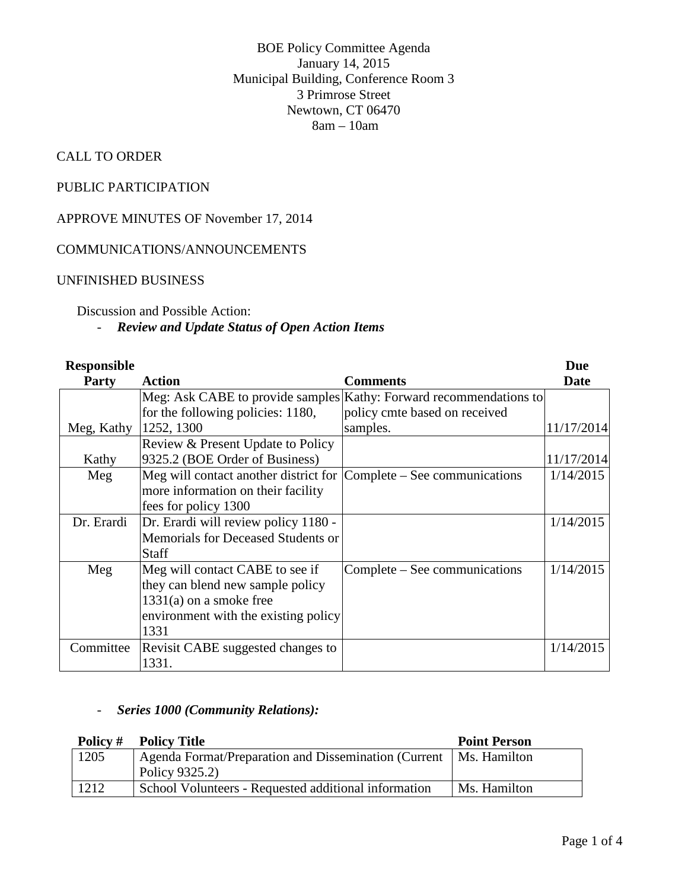BOE Policy Committee Agenda January 14, 2015 Municipal Building, Conference Room 3 3 Primrose Street Newtown, CT 06470 8am – 10am

# CALL TO ORDER

# PUBLIC PARTICIPATION

APPROVE MINUTES OF November 17, 2014

## COMMUNICATIONS/ANNOUNCEMENTS

#### UNFINISHED BUSINESS

#### Discussion and Possible Action:

### - *Review and Update Status of Open Action Items*

| <b>Responsible</b> |                                       |                                                                    | Due         |
|--------------------|---------------------------------------|--------------------------------------------------------------------|-------------|
| <b>Party</b>       | <b>Action</b>                         | <b>Comments</b>                                                    | <b>Date</b> |
|                    |                                       | Meg: Ask CABE to provide samples Kathy: Forward recommendations to |             |
|                    | for the following policies: 1180,     | policy cmte based on received                                      |             |
| Meg, Kathy         | 1252, 1300                            | samples.                                                           | 11/17/2014  |
|                    | Review & Present Update to Policy     |                                                                    |             |
| Kathy              | 9325.2 (BOE Order of Business)        |                                                                    | 11/17/2014  |
| Meg                | Meg will contact another district for | Complete – See communications                                      | 1/14/2015   |
|                    | more information on their facility    |                                                                    |             |
|                    | fees for policy 1300                  |                                                                    |             |
| Dr. Erardi         | Dr. Erardi will review policy 1180 -  |                                                                    | 1/14/2015   |
|                    | Memorials for Deceased Students or    |                                                                    |             |
|                    | <b>Staff</b>                          |                                                                    |             |
| Meg                | Meg will contact CABE to see if       | Complete – See communications                                      | 1/14/2015   |
|                    | they can blend new sample policy      |                                                                    |             |
|                    | $1331(a)$ on a smoke free             |                                                                    |             |
|                    | environment with the existing policy  |                                                                    |             |
|                    | 1331                                  |                                                                    |             |
| Committee          | Revisit CABE suggested changes to     |                                                                    | 1/14/2015   |
|                    | 1331.                                 |                                                                    |             |

#### - *Series 1000 (Community Relations):*

|      | <b>Policy # Policy Title</b>                                        | <b>Point Person</b> |
|------|---------------------------------------------------------------------|---------------------|
| 1205 | Agenda Format/Preparation and Dissemination (Current   Ms. Hamilton |                     |
|      | Policy 9325.2)                                                      |                     |
| 1212 | School Volunteers - Requested additional information                | Ms. Hamilton        |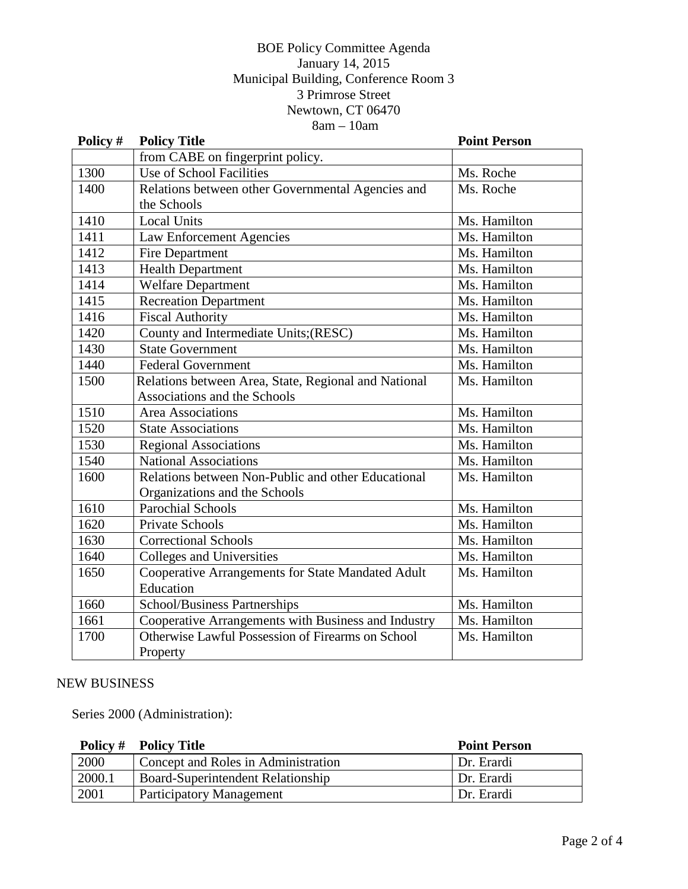### BOE Policy Committee Agenda January 14, 2015 Municipal Building, Conference Room 3 3 Primrose Street Newtown, CT 06470 8am – 10am

| Policy # | <b>Policy Title</b>                                  | <b>Point Person</b> |
|----------|------------------------------------------------------|---------------------|
|          | from CABE on fingerprint policy.                     |                     |
| 1300     | <b>Use of School Facilities</b>                      | Ms. Roche           |
| 1400     | Relations between other Governmental Agencies and    | Ms. Roche           |
|          | the Schools                                          |                     |
| 1410     | <b>Local Units</b>                                   | Ms. Hamilton        |
| 1411     | <b>Law Enforcement Agencies</b>                      | Ms. Hamilton        |
| 1412     | Fire Department                                      | Ms. Hamilton        |
| 1413     | <b>Health Department</b>                             | Ms. Hamilton        |
| 1414     | <b>Welfare Department</b>                            | Ms. Hamilton        |
| 1415     | <b>Recreation Department</b>                         | Ms. Hamilton        |
| 1416     | <b>Fiscal Authority</b>                              | Ms. Hamilton        |
| 1420     | County and Intermediate Units;(RESC)                 | Ms. Hamilton        |
| 1430     | <b>State Government</b>                              | Ms. Hamilton        |
| 1440     | <b>Federal Government</b>                            | Ms. Hamilton        |
| 1500     | Relations between Area, State, Regional and National | Ms. Hamilton        |
|          | Associations and the Schools                         |                     |
| 1510     | Area Associations                                    | Ms. Hamilton        |
| 1520     | <b>State Associations</b>                            | Ms. Hamilton        |
| 1530     | <b>Regional Associations</b>                         | Ms. Hamilton        |
| 1540     | <b>National Associations</b>                         | Ms. Hamilton        |
| 1600     | Relations between Non-Public and other Educational   | Ms. Hamilton        |
|          | Organizations and the Schools                        |                     |
| 1610     | <b>Parochial Schools</b>                             | Ms. Hamilton        |
| 1620     | <b>Private Schools</b>                               | Ms. Hamilton        |
| 1630     | <b>Correctional Schools</b>                          | Ms. Hamilton        |
| 1640     | Colleges and Universities                            | Ms. Hamilton        |
| 1650     | Cooperative Arrangements for State Mandated Adult    | Ms. Hamilton        |
|          | Education                                            |                     |
| 1660     | School/Business Partnerships                         | Ms. Hamilton        |
| 1661     | Cooperative Arrangements with Business and Industry  | Ms. Hamilton        |
| 1700     | Otherwise Lawful Possession of Firearms on School    | Ms. Hamilton        |
|          | Property                                             |                     |

#### NEW BUSINESS

Series 2000 (Administration):

|        | <b>Policy # Policy Title</b>        | <b>Point Person</b> |
|--------|-------------------------------------|---------------------|
| 2000   | Concept and Roles in Administration | Dr. Erardi          |
| 2000.1 | Board-Superintendent Relationship   | Dr. Erardi          |
| 2001   | <b>Participatory Management</b>     | Dr. Erardi          |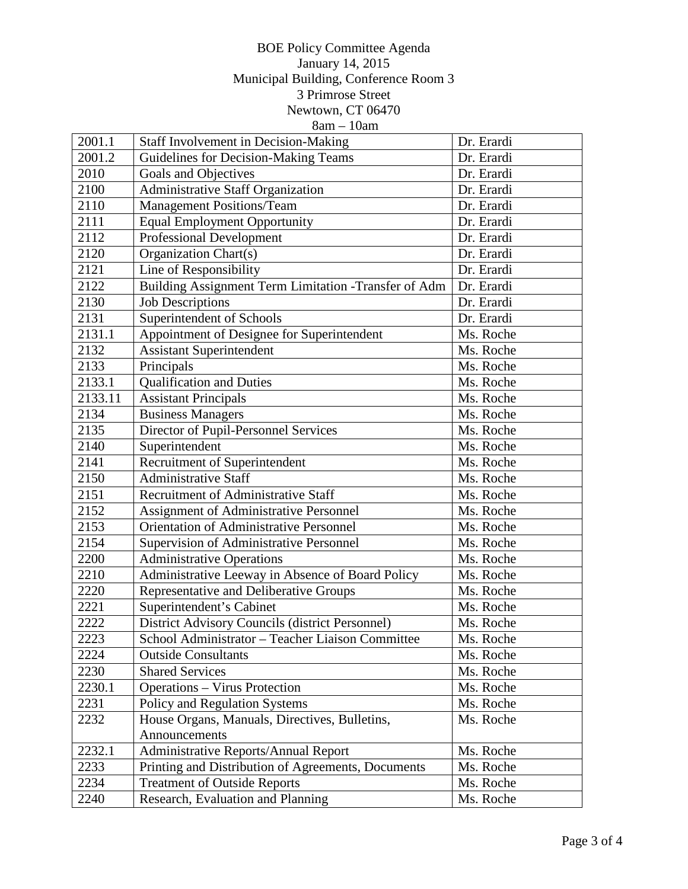### BOE Policy Committee Agenda January 14, 2015 Municipal Building, Conference Room 3 3 Primrose Street Newtown, CT 06470  $8am - 10am$

| 2001.1  | Staff Involvement in Decision-Making                 | Dr. Erardi |
|---------|------------------------------------------------------|------------|
| 2001.2  | Guidelines for Decision-Making Teams                 | Dr. Erardi |
| 2010    | Goals and Objectives                                 | Dr. Erardi |
| 2100    | Administrative Staff Organization                    | Dr. Erardi |
| 2110    | <b>Management Positions/Team</b>                     | Dr. Erardi |
| 2111    | <b>Equal Employment Opportunity</b>                  | Dr. Erardi |
| 2112    | <b>Professional Development</b>                      | Dr. Erardi |
| 2120    | Organization Chart(s)                                | Dr. Erardi |
| 2121    | Line of Responsibility                               | Dr. Erardi |
| 2122    | Building Assignment Term Limitation -Transfer of Adm | Dr. Erardi |
| 2130    | <b>Job Descriptions</b>                              | Dr. Erardi |
| 2131    | Superintendent of Schools                            | Dr. Erardi |
| 2131.1  | Appointment of Designee for Superintendent           | Ms. Roche  |
| 2132    | <b>Assistant Superintendent</b>                      | Ms. Roche  |
| 2133    | Principals                                           | Ms. Roche  |
| 2133.1  | <b>Qualification and Duties</b>                      | Ms. Roche  |
| 2133.11 | <b>Assistant Principals</b>                          | Ms. Roche  |
| 2134    | <b>Business Managers</b>                             | Ms. Roche  |
| 2135    | Director of Pupil-Personnel Services                 | Ms. Roche  |
| 2140    | Superintendent                                       | Ms. Roche  |
| 2141    | Recruitment of Superintendent                        | Ms. Roche  |
| 2150    | <b>Administrative Staff</b>                          | Ms. Roche  |
| 2151    | Recruitment of Administrative Staff                  | Ms. Roche  |
| 2152    | <b>Assignment of Administrative Personnel</b>        | Ms. Roche  |
| 2153    | <b>Orientation of Administrative Personnel</b>       | Ms. Roche  |
| 2154    | Supervision of Administrative Personnel              | Ms. Roche  |
| 2200    | <b>Administrative Operations</b>                     | Ms. Roche  |
| 2210    | Administrative Leeway in Absence of Board Policy     | Ms. Roche  |
| 2220    | Representative and Deliberative Groups               | Ms. Roche  |
| 2221    | Superintendent's Cabinet                             | Ms. Roche  |
| 2222    | District Advisory Councils (district Personnel)      | Ms. Roche  |
| 2223    | School Administrator - Teacher Liaison Committee     | Ms. Roche  |
| 2224    | <b>Outside Consultants</b>                           | Ms. Roche  |
| 2230    | <b>Shared Services</b>                               | Ms. Roche  |
| 2230.1  | <b>Operations – Virus Protection</b>                 | Ms. Roche  |
| 2231    | <b>Policy and Regulation Systems</b>                 | Ms. Roche  |
| 2232    | House Organs, Manuals, Directives, Bulletins,        | Ms. Roche  |
|         | Announcements                                        |            |
| 2232.1  | Administrative Reports/Annual Report                 | Ms. Roche  |
| 2233    | Printing and Distribution of Agreements, Documents   | Ms. Roche  |
| 2234    | <b>Treatment of Outside Reports</b>                  | Ms. Roche  |
| 2240    | Research, Evaluation and Planning                    | Ms. Roche  |